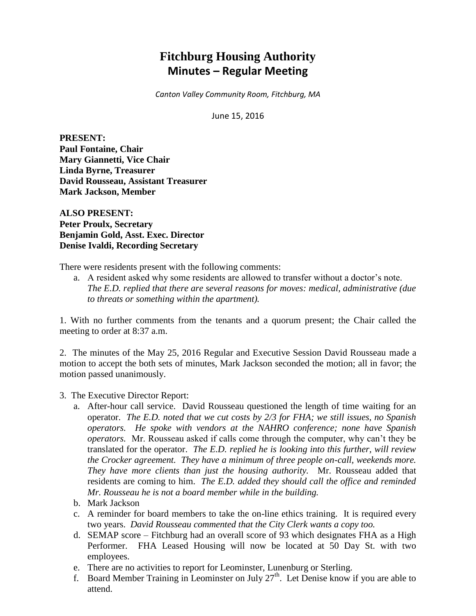## **Fitchburg Housing Authority Minutes – Regular Meeting**

*Canton Valley Community Room, Fitchburg, MA*

June 15, 2016

**PRESENT: Paul Fontaine, Chair Mary Giannetti, Vice Chair Linda Byrne, Treasurer David Rousseau, Assistant Treasurer Mark Jackson, Member**

**ALSO PRESENT: Peter Proulx, Secretary Benjamin Gold, Asst. Exec. Director Denise Ivaldi, Recording Secretary**

There were residents present with the following comments:

a. A resident asked why some residents are allowed to transfer without a doctor's note. *The E.D. replied that there are several reasons for moves: medical, administrative (due to threats or something within the apartment).*

1. With no further comments from the tenants and a quorum present; the Chair called the meeting to order at 8:37 a.m.

2. The minutes of the May 25, 2016 Regular and Executive Session David Rousseau made a motion to accept the both sets of minutes, Mark Jackson seconded the motion; all in favor; the motion passed unanimously.

- 3. The Executive Director Report:
	- a. After-hour call service. David Rousseau questioned the length of time waiting for an operator. *The E.D. noted that we cut costs by 2/3 for FHA; we still issues, no Spanish operators. He spoke with vendors at the NAHRO conference; none have Spanish operators.* Mr. Rousseau asked if calls come through the computer, why can't they be translated for the operator. *The E.D. replied he is looking into this further, will review the Crocker agreement. They have a minimum of three people on-call, weekends more. They have more clients than just the housing authority.* Mr. Rousseau added that residents are coming to him. *The E.D. added they should call the office and reminded Mr. Rousseau he is not a board member while in the building.*
	- b. Mark Jackson
	- c. A reminder for board members to take the on-line ethics training. It is required every two years. *David Rousseau commented that the City Clerk wants a copy too.*
	- d. SEMAP score Fitchburg had an overall score of 93 which designates FHA as a High Performer. FHA Leased Housing will now be located at 50 Day St. with two employees.
	- e. There are no activities to report for Leominster, Lunenburg or Sterling.
	- f. Board Member Training in Leominster on July  $27<sup>th</sup>$ . Let Denise know if you are able to attend.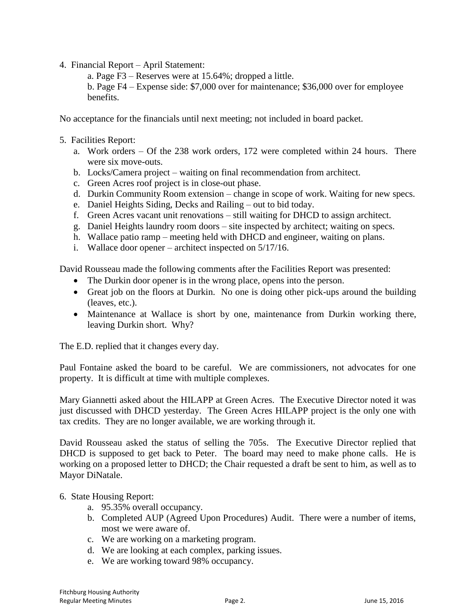4. Financial Report – April Statement:

a. Page F3 – Reserves were at 15.64%; dropped a little.

b. Page F4 – Expense side: \$7,000 over for maintenance; \$36,000 over for employee benefits.

No acceptance for the financials until next meeting; not included in board packet.

- 5. Facilities Report:
	- a. Work orders Of the 238 work orders, 172 were completed within 24 hours. There were six move-outs.
	- b. Locks/Camera project waiting on final recommendation from architect.
	- c. Green Acres roof project is in close-out phase.
	- d. Durkin Community Room extension change in scope of work. Waiting for new specs.
	- e. Daniel Heights Siding, Decks and Railing out to bid today.
	- f. Green Acres vacant unit renovations still waiting for DHCD to assign architect.
	- g. Daniel Heights laundry room doors site inspected by architect; waiting on specs.
	- h. Wallace patio ramp meeting held with DHCD and engineer, waiting on plans.
	- i. Wallace door opener architect inspected on 5/17/16.

David Rousseau made the following comments after the Facilities Report was presented:

- The Durkin door opener is in the wrong place, opens into the person.
- Great job on the floors at Durkin. No one is doing other pick-ups around the building (leaves, etc.).
- Maintenance at Wallace is short by one, maintenance from Durkin working there, leaving Durkin short. Why?

The E.D. replied that it changes every day.

Paul Fontaine asked the board to be careful. We are commissioners, not advocates for one property. It is difficult at time with multiple complexes.

Mary Giannetti asked about the HILAPP at Green Acres. The Executive Director noted it was just discussed with DHCD yesterday. The Green Acres HILAPP project is the only one with tax credits. They are no longer available, we are working through it.

David Rousseau asked the status of selling the 705s. The Executive Director replied that DHCD is supposed to get back to Peter. The board may need to make phone calls. He is working on a proposed letter to DHCD; the Chair requested a draft be sent to him, as well as to Mayor DiNatale.

## 6. State Housing Report:

- a. 95.35% overall occupancy.
- b. Completed AUP (Agreed Upon Procedures) Audit. There were a number of items, most we were aware of.
- c. We are working on a marketing program.
- d. We are looking at each complex, parking issues.
- e. We are working toward 98% occupancy.